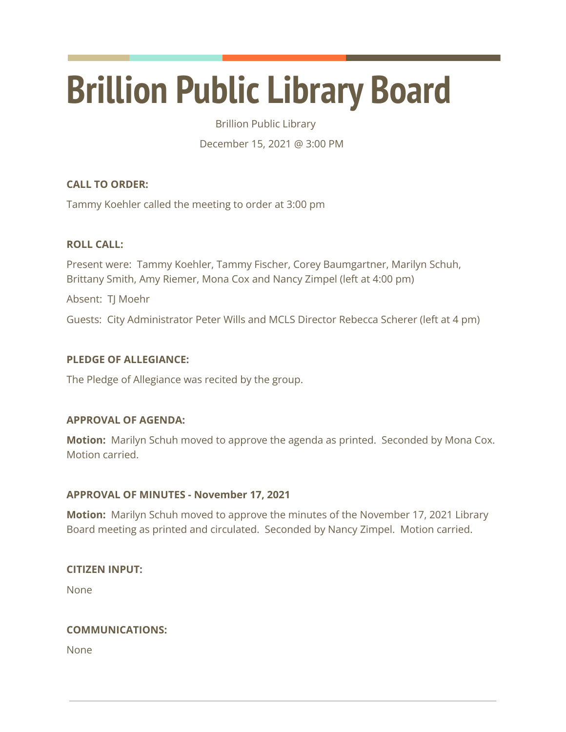# **Brillion Public Library Board**

Brillion Public Library

December 15, 2021 @ 3:00 PM

# **CALL TO ORDER:**

Tammy Koehler called the meeting to order at 3:00 pm

# **ROLL CALL:**

Present were: Tammy Koehler, Tammy Fischer, Corey Baumgartner, Marilyn Schuh, Brittany Smith, Amy Riemer, Mona Cox and Nancy Zimpel (left at 4:00 pm)

Absent: TJ Moehr

Guests: City Administrator Peter Wills and MCLS Director Rebecca Scherer (left at 4 pm)

# **PLEDGE OF ALLEGIANCE:**

The Pledge of Allegiance was recited by the group.

# **APPROVAL OF AGENDA:**

**Motion:** Marilyn Schuh moved to approve the agenda as printed. Seconded by Mona Cox. Motion carried.

# **APPROVAL OF MINUTES - November 17, 2021**

**Motion:** Marilyn Schuh moved to approve the minutes of the November 17, 2021 Library Board meeting as printed and circulated. Seconded by Nancy Zimpel. Motion carried.

# **CITIZEN INPUT:**

None

# **COMMUNICATIONS:**

None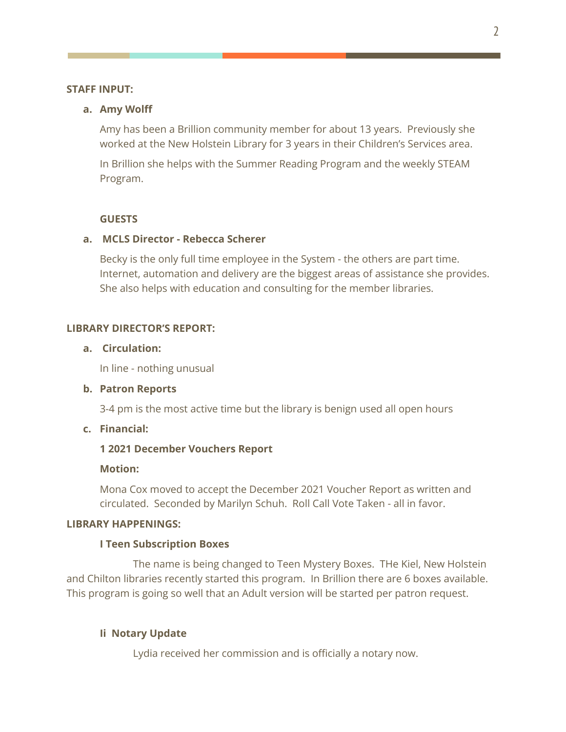#### **STAFF INPUT:**

#### **a. Amy Wolff**

Amy has been a Brillion community member for about 13 years. Previously she worked at the New Holstein Library for 3 years in their Children's Services area.

In Brillion she helps with the Summer Reading Program and the weekly STEAM Program.

## **GUESTS**

## **a. MCLS Director - Rebecca Scherer**

Becky is the only full time employee in the System - the others are part time. Internet, automation and delivery are the biggest areas of assistance she provides. She also helps with education and consulting for the member libraries.

## **LIBRARY DIRECTOR'S REPORT:**

#### **a. Circulation:**

In line - nothing unusual

### **b. Patron Reports**

3-4 pm is the most active time but the library is benign used all open hours

## **c. Financial:**

#### **1 2021 December Vouchers Report**

#### **Motion:**

Mona Cox moved to accept the December 2021 Voucher Report as written and circulated. Seconded by Marilyn Schuh. Roll Call Vote Taken - all in favor.

## **LIBRARY HAPPENINGS:**

#### **I Teen Subscription Boxes**

The name is being changed to Teen Mystery Boxes. THe Kiel, New Holstein and Chilton libraries recently started this program. In Brillion there are 6 boxes available. This program is going so well that an Adult version will be started per patron request.

#### **Ii Notary Update**

Lydia received her commission and is officially a notary now.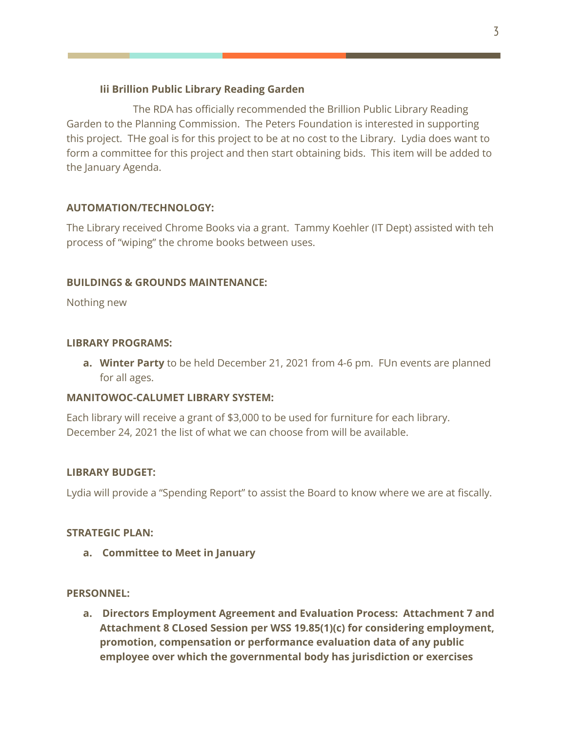# **Iii Brillion Public Library Reading Garden**

The RDA has officially recommended the Brillion Public Library Reading Garden to the Planning Commission. The Peters Foundation is interested in supporting this project. THe goal is for this project to be at no cost to the Library. Lydia does want to form a committee for this project and then start obtaining bids. This item will be added to the January Agenda.

# **AUTOMATION/TECHNOLOGY:**

The Library received Chrome Books via a grant. Tammy Koehler (IT Dept) assisted with teh process of "wiping" the chrome books between uses.

# **BUILDINGS & GROUNDS MAINTENANCE:**

Nothing new

# **LIBRARY PROGRAMS:**

**a. Winter Party** to be held December 21, 2021 from 4-6 pm. FUn events are planned for all ages.

# **MANITOWOC-CALUMET LIBRARY SYSTEM:**

Each library will receive a grant of \$3,000 to be used for furniture for each library. December 24, 2021 the list of what we can choose from will be available.

# **LIBRARY BUDGET:**

Lydia will provide a "Spending Report" to assist the Board to know where we are at fiscally.

## **STRATEGIC PLAN:**

**a. Committee to Meet in January**

## **PERSONNEL:**

**a. Directors Employment Agreement and Evaluation Process: Attachment 7 and Attachment 8 CLosed Session per WSS 19.85(1)(c) for considering employment, promotion, compensation or performance evaluation data of any public employee over which the governmental body has jurisdiction or exercises**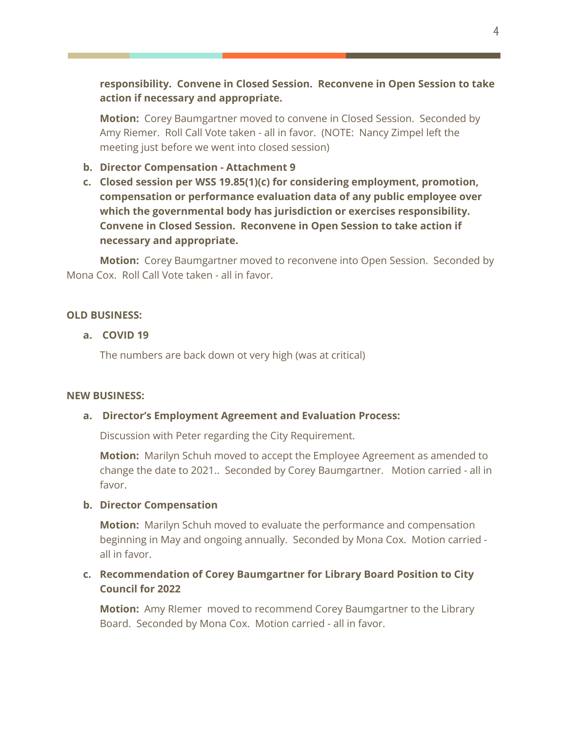**responsibility. Convene in Closed Session. Reconvene in Open Session to take action if necessary and appropriate.**

**Motion:** Corey Baumgartner moved to convene in Closed Session. Seconded by Amy Riemer. Roll Call Vote taken - all in favor. (NOTE: Nancy Zimpel left the meeting just before we went into closed session)

- **b. Director Compensation - Attachment 9**
- **c. Closed session per WSS 19.85(1)(c) for considering employment, promotion, compensation or performance evaluation data of any public employee over which the governmental body has jurisdiction or exercises responsibility. Convene in Closed Session. Reconvene in Open Session to take action if necessary and appropriate.**

**Motion:** Corey Baumgartner moved to reconvene into Open Session. Seconded by Mona Cox. Roll Call Vote taken - all in favor.

#### **OLD BUSINESS:**

### **a. COVID 19**

The numbers are back down ot very high (was at critical)

#### **NEW BUSINESS:**

#### **a. Director's Employment Agreement and Evaluation Process:**

Discussion with Peter regarding the City Requirement.

**Motion:** Marilyn Schuh moved to accept the Employee Agreement as amended to change the date to 2021.. Seconded by Corey Baumgartner. Motion carried - all in favor.

#### **b. Director Compensation**

**Motion:** Marilyn Schuh moved to evaluate the performance and compensation beginning in May and ongoing annually. Seconded by Mona Cox. Motion carried all in favor.

# **c. Recommendation of Corey Baumgartner for Library Board Position to City Council for 2022**

**Motion:** Amy RIemer moved to recommend Corey Baumgartner to the Library Board. Seconded by Mona Cox. Motion carried - all in favor.